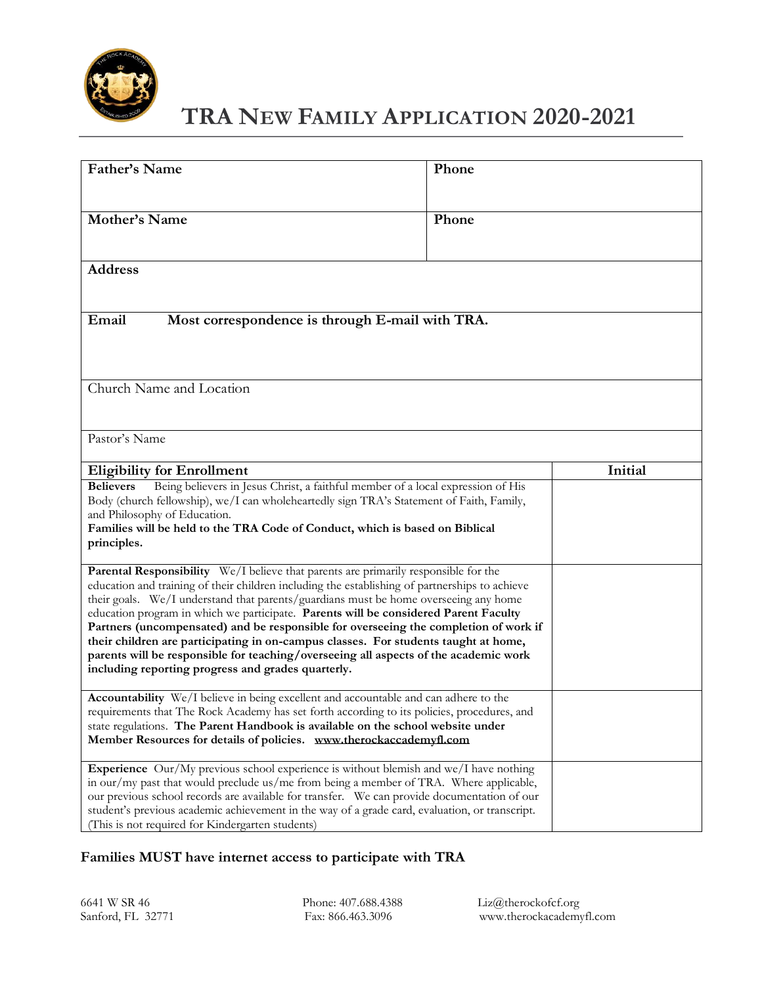

# **TRA NEW FAMILY APPLICATION 2020-2021**

| Father's Name                                                                                                                                                                                                                                                                                                                                                                                                                                                                                                                                                                                                                                                                                      | Phone   |  |  |  |
|----------------------------------------------------------------------------------------------------------------------------------------------------------------------------------------------------------------------------------------------------------------------------------------------------------------------------------------------------------------------------------------------------------------------------------------------------------------------------------------------------------------------------------------------------------------------------------------------------------------------------------------------------------------------------------------------------|---------|--|--|--|
| Mother's Name                                                                                                                                                                                                                                                                                                                                                                                                                                                                                                                                                                                                                                                                                      | Phone   |  |  |  |
| <b>Address</b>                                                                                                                                                                                                                                                                                                                                                                                                                                                                                                                                                                                                                                                                                     |         |  |  |  |
| Email<br>Most correspondence is through E-mail with TRA.                                                                                                                                                                                                                                                                                                                                                                                                                                                                                                                                                                                                                                           |         |  |  |  |
| Church Name and Location                                                                                                                                                                                                                                                                                                                                                                                                                                                                                                                                                                                                                                                                           |         |  |  |  |
| Pastor's Name                                                                                                                                                                                                                                                                                                                                                                                                                                                                                                                                                                                                                                                                                      |         |  |  |  |
| <b>Eligibility for Enrollment</b>                                                                                                                                                                                                                                                                                                                                                                                                                                                                                                                                                                                                                                                                  | Initial |  |  |  |
| Being believers in Jesus Christ, a faithful member of a local expression of His<br><b>Believers</b><br>Body (church fellowship), we/I can wholeheartedly sign TRA's Statement of Faith, Family,<br>and Philosophy of Education.<br>Families will be held to the TRA Code of Conduct, which is based on Biblical<br>principles.                                                                                                                                                                                                                                                                                                                                                                     |         |  |  |  |
| Parental Responsibility We/I believe that parents are primarily responsible for the<br>education and training of their children including the establishing of partnerships to achieve<br>their goals. We/I understand that parents/guardians must be home overseeing any home<br>education program in which we participate. Parents will be considered Parent Faculty<br>Partners (uncompensated) and be responsible for overseeing the completion of work if<br>their children are participating in on-campus classes. For students taught at home,<br>parents will be responsible for teaching/overseeing all aspects of the academic work<br>including reporting progress and grades quarterly. |         |  |  |  |
| Accountability We/I believe in being excellent and accountable and can adhere to the<br>requirements that The Rock Academy has set forth according to its policies, procedures, and<br>state regulations. The Parent Handbook is available on the school website under<br>Member Resources for details of policies. www.therockaccademyfl.com                                                                                                                                                                                                                                                                                                                                                      |         |  |  |  |
| Experience Our/My previous school experience is without blemish and we/I have nothing<br>in our/my past that would preclude us/me from being a member of TRA. Where applicable,<br>our previous school records are available for transfer. We can provide documentation of our<br>student's previous academic achievement in the way of a grade card, evaluation, or transcript.<br>(This is not required for Kindergarten students)                                                                                                                                                                                                                                                               |         |  |  |  |

## **Families MUST have internet access to participate with TRA**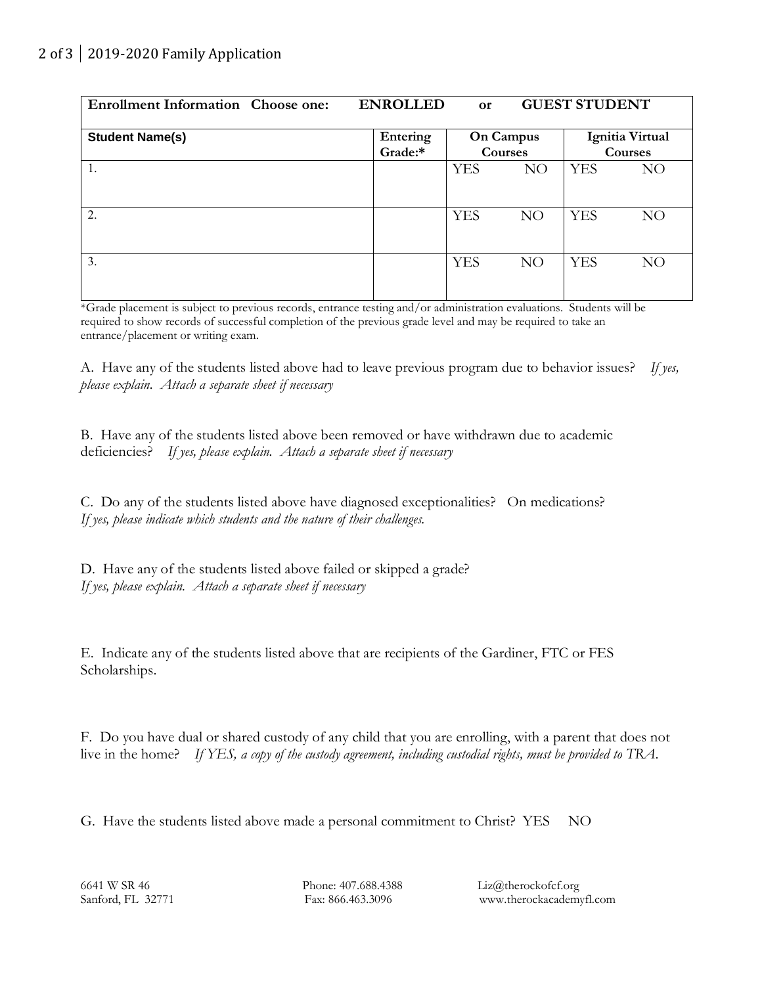| <b>GUEST STUDENT</b><br><b>ENROLLED</b><br><b>Enrollment Information Choose one:</b><br><b>or</b> |                     |                      |    |                            |    |  |
|---------------------------------------------------------------------------------------------------|---------------------|----------------------|----|----------------------------|----|--|
| <b>Student Name(s)</b>                                                                            | Entering<br>Grade:* | On Campus<br>Courses |    | Ignitia Virtual<br>Courses |    |  |
| 1.                                                                                                |                     | <b>YES</b>           | NO | <b>YES</b>                 | NO |  |
| 2.                                                                                                |                     | <b>YES</b>           | NO | <b>YES</b>                 | NO |  |
| 3.                                                                                                |                     | <b>YES</b>           | NO | <b>YES</b>                 | NO |  |

\*Grade placement is subject to previous records, entrance testing and/or administration evaluations. Students will be required to show records of successful completion of the previous grade level and may be required to take an entrance/placement or writing exam.

A. Have any of the students listed above had to leave previous program due to behavior issues? *If yes, please explain. Attach a separate sheet if necessary*

B. Have any of the students listed above been removed or have withdrawn due to academic deficiencies? *If yes, please explain. Attach a separate sheet if necessary*

C. Do any of the students listed above have diagnosed exceptionalities? On medications? *If yes, please indicate which students and the nature of their challenges.* 

D. Have any of the students listed above failed or skipped a grade? *If yes, please explain. Attach a separate sheet if necessary*

E. Indicate any of the students listed above that are recipients of the Gardiner, FTC or FES Scholarships.

F. Do you have dual or shared custody of any child that you are enrolling, with a parent that does not live in the home? *If YES, a copy of the custody agreement, including custodial rights, must be provided to TRA*.

G. Have the students listed above made a personal commitment to Christ? YES NO

6641 W SR 46 Phone: 407.688.4388 Liz@therockofcf.org Sanford, FL 32771 Fax: 866.463.3096 www.therockacademyfl.com